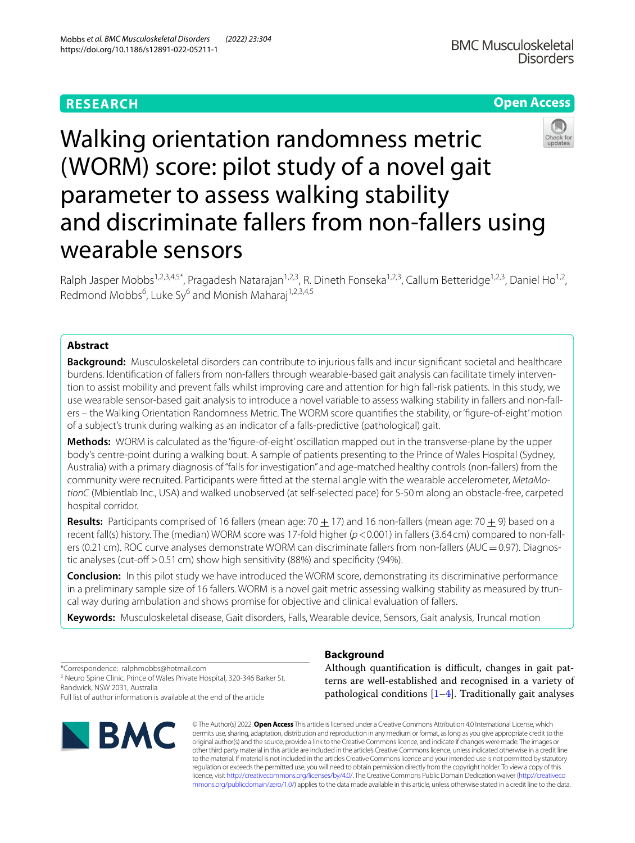# **RESEARCH**

# **Open Access**



# Walking orientation randomness metric (WORM) score: pilot study of a novel gait parameter to assess walking stability and discriminate fallers from non-fallers using wearable sensors

Ralph Jasper Mobbs<sup>1,2,3,4,5\*</sup>, Pragadesh Natarajan<sup>1,2,3</sup>, R. Dineth Fonseka<sup>1,2,3</sup>, Callum Betteridge<sup>1,2,3</sup>, Daniel Ho<sup>1,2</sup>, Redmond Mobbs<sup>6</sup>, Luke Sy<sup>6</sup> and Monish Maharaj<sup>1,2,3,4,5</sup>

# **Abstract**

**Background:** Musculoskeletal disorders can contribute to injurious falls and incur signifcant societal and healthcare burdens. Identifcation of fallers from non-fallers through wearable-based gait analysis can facilitate timely intervention to assist mobility and prevent falls whilst improving care and attention for high fall-risk patients. In this study, we use wearable sensor-based gait analysis to introduce a novel variable to assess walking stability in fallers and non-fallers – the Walking Orientation Randomness Metric. The WORM score quantifes the stability, or 'fgure-of-eight' motion of a subject's trunk during walking as an indicator of a falls-predictive (pathological) gait.

**Methods:** WORM is calculated as the 'fgure-of-eight' oscillation mapped out in the transverse-plane by the upper body's centre-point during a walking bout. A sample of patients presenting to the Prince of Wales Hospital (Sydney, Australia) with a primary diagnosis of "falls for investigation" and age-matched healthy controls (non-fallers) from the community were recruited. Participants were ftted at the sternal angle with the wearable accelerometer, *MetaMotionC* (Mbientlab Inc., USA) and walked unobserved (at self-selected pace) for 5-50m along an obstacle-free, carpeted hospital corridor.

**Results:** Participants comprised of 16 fallers (mean age: 70  $\pm$  17) and 16 non-fallers (mean age: 70  $\pm$  9) based on a recent fall(s) history. The (median) WORM score was 17-fold higher (*p*<0.001) in fallers (3.64 cm) compared to non-fallers (0.21 cm). ROC curve analyses demonstrate WORM can discriminate fallers from non-fallers (AUC = 0.97). Diagnostic analyses (cut-off  $> 0.51$  cm) show high sensitivity (88%) and specificity (94%).

**Conclusion:** In this pilot study we have introduced the WORM score, demonstrating its discriminative performance in a preliminary sample size of 16 fallers. WORM is a novel gait metric assessing walking stability as measured by truncal way during ambulation and shows promise for objective and clinical evaluation of fallers.

**Keywords:** Musculoskeletal disease, Gait disorders, Falls, Wearable device, Sensors, Gait analysis, Truncal motion

\*Correspondence: ralphmobbs@hotmail.com

<sup>5</sup> Neuro Spine Clinic, Prince of Wales Private Hospital, 320-346 Barker St, Randwick, NSW 2031, Australia

Full list of author information is available at the end of the article



# **Background**

Although quantification is difficult, changes in gait patterns are well-established and recognised in a variety of pathological conditions  $[1-4]$  $[1-4]$ . Traditionally gait analyses

© The Author(s) 2022. **Open Access** This article is licensed under a Creative Commons Attribution 4.0 International License, which permits use, sharing, adaptation, distribution and reproduction in any medium or format, as long as you give appropriate credit to the original author(s) and the source, provide a link to the Creative Commons licence, and indicate if changes were made. The images or other third party material in this article are included in the article's Creative Commons licence, unless indicated otherwise in a credit line to the material. If material is not included in the article's Creative Commons licence and your intended use is not permitted by statutory regulation or exceeds the permitted use, you will need to obtain permission directly from the copyright holder. To view a copy of this licence, visit [http://creativecommons.org/licenses/by/4.0/.](http://creativecommons.org/licenses/by/4.0/) The Creative Commons Public Domain Dedication waiver ([http://creativeco](http://creativecommons.org/publicdomain/zero/1.0/) [mmons.org/publicdomain/zero/1.0/](http://creativecommons.org/publicdomain/zero/1.0/)) applies to the data made available in this article, unless otherwise stated in a credit line to the data.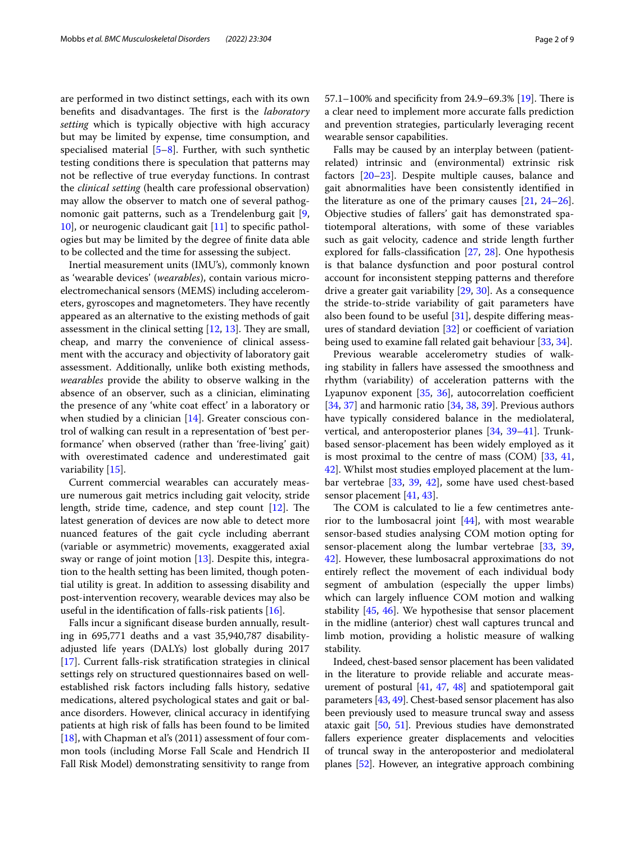are performed in two distinct settings, each with its own benefits and disadvantages. The first is the *laboratory setting* which is typically objective with high accuracy but may be limited by expense, time consumption, and specialised material  $[5-8]$  $[5-8]$ . Further, with such synthetic testing conditions there is speculation that patterns may not be refective of true everyday functions. In contrast the *clinical setting* (health care professional observation) may allow the observer to match one of several pathognomonic gait patterns, such as a Trendelenburg gait [\[9](#page-7-4), [10\]](#page-7-5), or neurogenic claudicant gait [[11\]](#page-7-6) to specifc pathologies but may be limited by the degree of fnite data able to be collected and the time for assessing the subject.

Inertial measurement units (IMU's), commonly known as 'wearable devices' (*wearables*), contain various microelectromechanical sensors (MEMS) including accelerometers, gyroscopes and magnetometers. They have recently appeared as an alternative to the existing methods of gait assessment in the clinical setting  $[12, 13]$  $[12, 13]$  $[12, 13]$ . They are small, cheap, and marry the convenience of clinical assessment with the accuracy and objectivity of laboratory gait assessment. Additionally, unlike both existing methods, *wearables* provide the ability to observe walking in the absence of an observer, such as a clinician, eliminating the presence of any 'white coat efect' in a laboratory or when studied by a clinician [\[14\]](#page-7-9). Greater conscious control of walking can result in a representation of 'best performance' when observed (rather than 'free-living' gait) with overestimated cadence and underestimated gait variability [[15\]](#page-7-10).

Current commercial wearables can accurately measure numerous gait metrics including gait velocity, stride length, stride time, cadence, and step count  $[12]$  $[12]$ . The latest generation of devices are now able to detect more nuanced features of the gait cycle including aberrant (variable or asymmetric) movements, exaggerated axial sway or range of joint motion [[13](#page-7-8)]. Despite this, integration to the health setting has been limited, though potential utility is great. In addition to assessing disability and post-intervention recovery, wearable devices may also be useful in the identifcation of falls-risk patients [\[16\]](#page-7-11).

Falls incur a signifcant disease burden annually, resulting in 695,771 deaths and a vast 35,940,787 disabilityadjusted life years (DALYs) lost globally during 2017 [[17\]](#page-7-12). Current falls-risk stratifcation strategies in clinical settings rely on structured questionnaires based on wellestablished risk factors including falls history, sedative medications, altered psychological states and gait or balance disorders. However, clinical accuracy in identifying patients at high risk of falls has been found to be limited [[18\]](#page-7-13), with Chapman et al's (2011) assessment of four common tools (including Morse Fall Scale and Hendrich II Fall Risk Model) demonstrating sensitivity to range from 57.1–100% and specificity from 24.9–69.3% [\[19](#page-7-14)]. There is a clear need to implement more accurate falls prediction and prevention strategies, particularly leveraging recent wearable sensor capabilities.

Falls may be caused by an interplay between (patientrelated) intrinsic and (environmental) extrinsic risk factors [[20–](#page-7-15)[23\]](#page-7-16). Despite multiple causes, balance and gait abnormalities have been consistently identifed in the literature as one of the primary causes [[21,](#page-7-17) [24](#page-7-18)[–26](#page-7-19)]. Objective studies of fallers' gait has demonstrated spatiotemporal alterations, with some of these variables such as gait velocity, cadence and stride length further explored for falls-classification  $[27, 28]$  $[27, 28]$  $[27, 28]$  $[27, 28]$  $[27, 28]$ . One hypothesis is that balance dysfunction and poor postural control account for inconsistent stepping patterns and therefore drive a greater gait variability [[29,](#page-7-22) [30\]](#page-7-23). As a consequence the stride-to-stride variability of gait parameters have also been found to be useful [[31](#page-7-24)], despite difering measures of standard deviation  $[32]$  $[32]$  or coefficient of variation being used to examine fall related gait behaviour [\[33](#page-7-26), [34\]](#page-7-27).

Previous wearable accelerometry studies of walking stability in fallers have assessed the smoothness and rhythm (variability) of acceleration patterns with the Lyapunov exponent  $[35, 36]$  $[35, 36]$  $[35, 36]$  $[35, 36]$ , autocorrelation coefficient [[34,](#page-7-27) [37](#page-7-30)] and harmonic ratio [[34,](#page-7-27) [38](#page-7-31), [39\]](#page-7-32). Previous authors have typically considered balance in the mediolateral, vertical, and anteroposterior planes [[34](#page-7-27), [39](#page-7-32)–[41\]](#page-7-33). Trunkbased sensor-placement has been widely employed as it is most proximal to the centre of mass (COM) [[33,](#page-7-26) [41](#page-7-33), [42\]](#page-7-34). Whilst most studies employed placement at the lumbar vertebrae [[33](#page-7-26), [39](#page-7-32), [42\]](#page-7-34), some have used chest-based sensor placement [[41](#page-7-33), [43\]](#page-7-35).

The COM is calculated to lie a few centimetres anterior to the lumbosacral joint [\[44](#page-7-36)], with most wearable sensor-based studies analysing COM motion opting for sensor-placement along the lumbar vertebrae [\[33](#page-7-26), [39](#page-7-32), [42\]](#page-7-34). However, these lumbosacral approximations do not entirely refect the movement of each individual body segment of ambulation (especially the upper limbs) which can largely infuence COM motion and walking stability [[45](#page-7-37), [46\]](#page-7-38). We hypothesise that sensor placement in the midline (anterior) chest wall captures truncal and limb motion, providing a holistic measure of walking stability.

Indeed, chest-based sensor placement has been validated in the literature to provide reliable and accurate measurement of postural [[41](#page-7-33), [47,](#page-7-39) [48\]](#page-8-0) and spatiotemporal gait parameters [\[43](#page-7-35), [49\]](#page-8-1). Chest-based sensor placement has also been previously used to measure truncal sway and assess ataxic gait [[50](#page-8-2), [51](#page-8-3)]. Previous studies have demonstrated fallers experience greater displacements and velocities of truncal sway in the anteroposterior and mediolateral planes [[52](#page-8-4)]. However, an integrative approach combining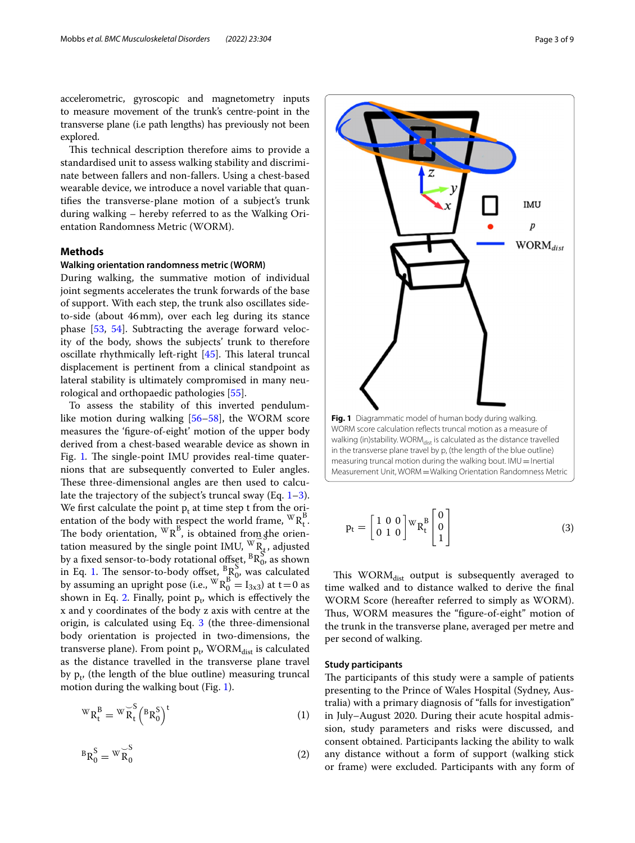accelerometric, gyroscopic and magnetometry inputs to measure movement of the trunk's centre-point in the transverse plane (i.e path lengths) has previously not been explored.

This technical description therefore aims to provide a standardised unit to assess walking stability and discriminate between fallers and non-fallers. Using a chest-based wearable device, we introduce a novel variable that quantifes the transverse-plane motion of a subject's trunk during walking – hereby referred to as the Walking Orientation Randomness Metric (WORM).

#### **Methods**

## **Walking orientation randomness metric (WORM)**

During walking, the summative motion of individual joint segments accelerates the trunk forwards of the base of support. With each step, the trunk also oscillates sideto-side (about 46mm), over each leg during its stance phase [[53,](#page-8-5) [54](#page-8-6)]. Subtracting the average forward velocity of the body, shows the subjects' trunk to therefore oscillate rhythmically left-right  $[45]$  $[45]$ . This lateral truncal displacement is pertinent from a clinical standpoint as lateral stability is ultimately compromised in many neurological and orthopaedic pathologies [\[55](#page-8-7)].

To assess the stability of this inverted pendulumlike motion during walking [[56](#page-8-8)[–58](#page-8-9)], the WORM score measures the 'fgure-of-eight' motion of the upper body derived from a chest-based wearable device as shown in Fig. [1](#page-2-0). The single-point IMU provides real-time quaternions that are subsequently converted to Euler angles. These three-dimensional angles are then used to calculate the trajectory of the subject's truncal sway (Eq. [1](#page-2-1)[–3](#page-2-2)). We first calculate the point  $p_t$  at time step t from the orientation of the body with respect the world frame,  ${}^{\mathbb{W}}R_t^B$ .<br>The body orientation,  ${}^{\mathbb{W}}R_t^B$ , is obtained from the orien-The body orientation,  $\cdot \cdot \kappa$ , is obtained from the orientation measured by the single point IMU,  $\cdot \cdot \cdot \cdot N_{R_t}$ , adjusted by a fixed sensor-to-body rotational offset,  ${}^{B}R_{0}^{S}$  as shown in Eq. [1.](#page-2-1) The sensor-to-body offset,  ${}^{B}R_{0}^{S}$ , was calculated<br>by assuming an upright pose (i.e.,  ${}^{W}R_{0}^{B} = I_{3x3}$ ) at t=0 as shown in Eq. [2](#page-2-3). Finally, point  $p_t$ , which is effectively the x and y coordinates of the body z axis with centre at the origin, is calculated using Eq. [3](#page-2-2) (the three-dimensional body orientation is projected in two-dimensions, the transverse plane). From point p<sub>t</sub>, WORM<sub>dist</sub> is calculated as the distance travelled in the transverse plane travel by  $p_t$ , (the length of the blue outline) measuring truncal motion during the walking bout (Fig. [1](#page-2-0)).

$$
{}^{W}R_{t}^{B} = {}^{W}\overset{\sim}{R}_{t}^{S} \left({}^{B}R_{0}^{S}\right)^{t}
$$
 (1)

$$
{}^{B}R_{0}^{S} = {}^{W}\overset{\smile S}{R_{0}} \tag{2}
$$



<span id="page-2-0"></span>measuring truncal motion during the walking bout.  $IMU=$  Inertial Measurement Unit, WORM=Walking Orientation Randomness Metric

<span id="page-2-2"></span>
$$
\mathbf{p}_{t} = \begin{bmatrix} 1 & 0 & 0 \\ 0 & 1 & 0 \end{bmatrix} \mathbf{W}_{R_{t}} \begin{bmatrix} 0 \\ 0 \\ 1 \end{bmatrix}
$$
 (3)

This  $WORM_{dist}$  output is subsequently averaged to time walked and to distance walked to derive the fnal WORM Score (hereafter referred to simply as WORM). Thus, WORM measures the "figure-of-eight" motion of the trunk in the transverse plane, averaged per metre and per second of walking.

## **Study participants**

<span id="page-2-3"></span><span id="page-2-1"></span>The participants of this study were a sample of patients presenting to the Prince of Wales Hospital (Sydney, Australia) with a primary diagnosis of "falls for investigation" in July–August 2020. During their acute hospital admission, study parameters and risks were discussed, and consent obtained. Participants lacking the ability to walk any distance without a form of support (walking stick or frame) were excluded. Participants with any form of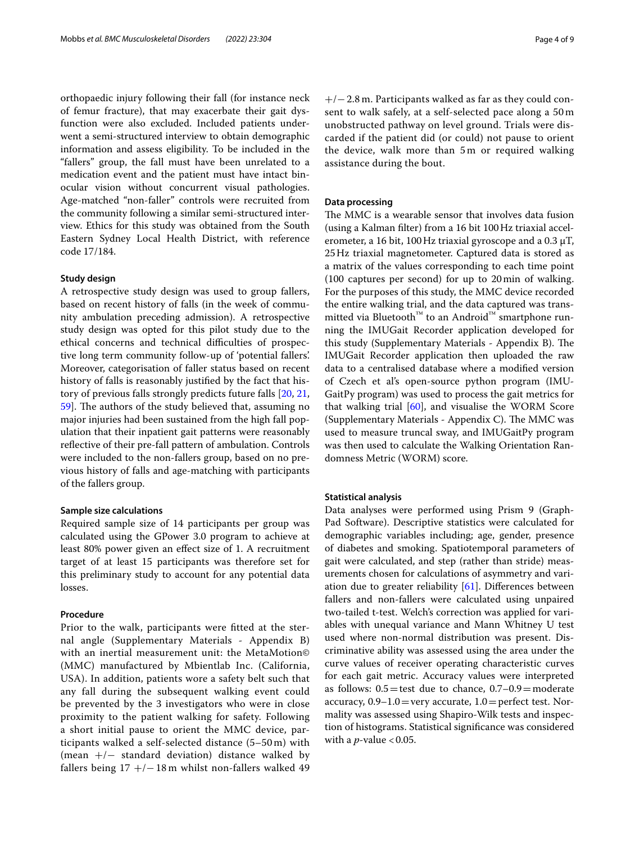orthopaedic injury following their fall (for instance neck of femur fracture), that may exacerbate their gait dysfunction were also excluded. Included patients underwent a semi-structured interview to obtain demographic information and assess eligibility. To be included in the "fallers" group, the fall must have been unrelated to a medication event and the patient must have intact binocular vision without concurrent visual pathologies. Age-matched "non-faller" controls were recruited from the community following a similar semi-structured interview. Ethics for this study was obtained from the South Eastern Sydney Local Health District, with reference code 17/184.

## **Study design**

A retrospective study design was used to group fallers, based on recent history of falls (in the week of community ambulation preceding admission). A retrospective study design was opted for this pilot study due to the ethical concerns and technical difficulties of prospective long term community follow-up of 'potential fallers'. Moreover, categorisation of faller status based on recent history of falls is reasonably justifed by the fact that history of previous falls strongly predicts future falls [[20,](#page-7-15) [21](#page-7-17), 59. The authors of the study believed that, assuming no major injuries had been sustained from the high fall population that their inpatient gait patterns were reasonably refective of their pre-fall pattern of ambulation. Controls were included to the non-fallers group, based on no previous history of falls and age-matching with participants of the fallers group.

#### **Sample size calculations**

Required sample size of 14 participants per group was calculated using the GPower 3.0 program to achieve at least 80% power given an efect size of 1. A recruitment target of at least 15 participants was therefore set for this preliminary study to account for any potential data losses.

## **Procedure**

Prior to the walk, participants were ftted at the sternal angle (Supplementary Materials - Appendix B) with an inertial measurement unit: the MetaMotion© (MMC) manufactured by Mbientlab Inc. (California, USA). In addition, patients wore a safety belt such that any fall during the subsequent walking event could be prevented by the 3 investigators who were in close proximity to the patient walking for safety. Following a short initial pause to orient the MMC device, participants walked a self-selected distance (5–50 m) with (mean  $+/-$  standard deviation) distance walked by fallers being 17 +/−18 m whilst non-fallers walked 49

+/−2.8 m. Participants walked as far as they could consent to walk safely, at a self-selected pace along a 50 m unobstructed pathway on level ground. Trials were discarded if the patient did (or could) not pause to orient the device, walk more than 5 m or required walking assistance during the bout.

## **Data processing**

The MMC is a wearable sensor that involves data fusion (using a Kalman flter) from a 16 bit 100Hz triaxial accelerometer, a 16 bit, 100 Hz triaxial gyroscope and a 0.3  $\mu$ T, 25Hz triaxial magnetometer. Captured data is stored as a matrix of the values corresponding to each time point (100 captures per second) for up to 20min of walking. For the purposes of this study, the MMC device recorded the entire walking trial, and the data captured was transmitted via Bluetooth™ to an Android™ smartphone running the IMUGait Recorder application developed for this study (Supplementary Materials - Appendix B). The IMUGait Recorder application then uploaded the raw data to a centralised database where a modifed version of Czech et al's open-source python program (IMU-GaitPy program) was used to process the gait metrics for that walking trial  $[60]$  $[60]$ , and visualise the WORM Score (Supplementary Materials - Appendix C). The MMC was used to measure truncal sway, and IMUGaitPy program was then used to calculate the Walking Orientation Randomness Metric (WORM) score.

#### **Statistical analysis**

Data analyses were performed using Prism 9 (Graph-Pad Software). Descriptive statistics were calculated for demographic variables including; age, gender, presence of diabetes and smoking. Spatiotemporal parameters of gait were calculated, and step (rather than stride) measurements chosen for calculations of asymmetry and variation due to greater reliability  $[61]$  $[61]$ . Differences between fallers and non-fallers were calculated using unpaired two-tailed t-test. Welch's correction was applied for variables with unequal variance and Mann Whitney U test used where non-normal distribution was present. Discriminative ability was assessed using the area under the curve values of receiver operating characteristic curves for each gait metric. Accuracy values were interpreted as follows:  $0.5 =$  test due to chance,  $0.7-0.9=$  moderate accuracy,  $0.9-1.0$  = very accurate,  $1.0$  = perfect test. Normality was assessed using Shapiro-Wilk tests and inspection of histograms. Statistical signifcance was considered with a  $p$ -value < 0.05.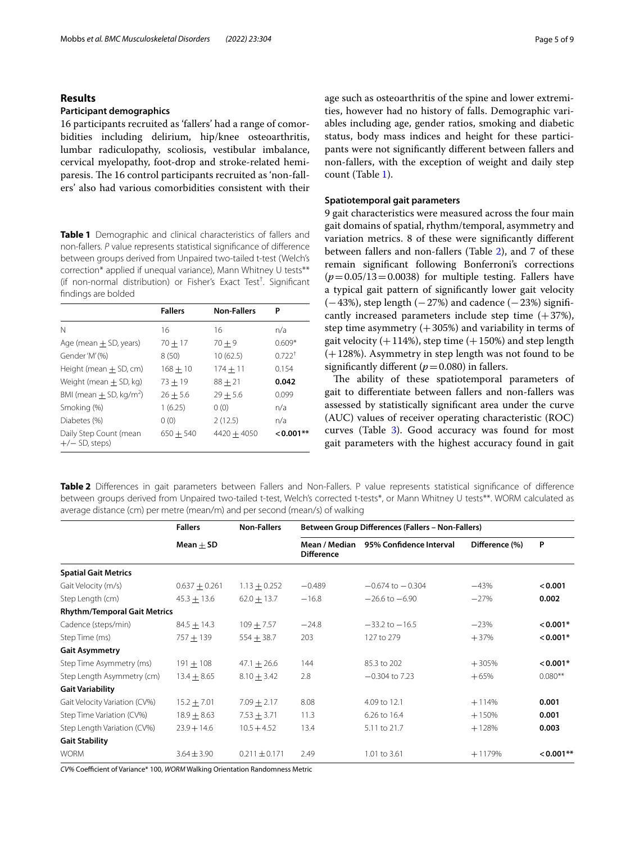## **Results**

#### **Participant demographics**

16 participants recruited as 'fallers' had a range of comorbidities including delirium, hip/knee osteoarthritis, lumbar radiculopathy, scoliosis, vestibular imbalance, cervical myelopathy, foot-drop and stroke-related hemiparesis. The 16 control participants recruited as 'non-fallers' also had various comorbidities consistent with their

<span id="page-4-0"></span>**Table 1** Demographic and clinical characteristics of fallers and non-fallers. *P* value represents statistical signifcance of diference between groups derived from Unpaired two-tailed t-test (Welch's correction\* applied if unequal variance), Mann Whitney U tests\*\* (if non-normal distribution) or Fisher's Exact Test† . Signifcant fndings are bolded

|                                            | <b>Fallers</b> | <b>Non-Fallers</b> | Ρ           |
|--------------------------------------------|----------------|--------------------|-------------|
|                                            |                |                    |             |
| N                                          | 16             | 16                 | n/a         |
| Age (mean $\pm$ SD, years)                 | $70 + 17$      | $70 + 9$           | $0.609*$    |
| Gender 'M' (%)                             | 8(50)          | 10(62.5)           | $0.722^{+}$ |
| Height (mean $+$ SD, cm)                   | $168 + 10$     | $174 + 11$         | 0.154       |
| Weight (mean $\pm$ SD, kg)                 | $73 + 19$      | $88 + 21$          | 0.042       |
| BMI (mean $\pm$ SD, kg/m <sup>2</sup> )    | $26 + 5.6$     | $29 + 5.6$         | 0.099       |
| Smoking (%)                                | 1(6.25)        | 0(0)               | n/a         |
| Diabetes (%)                               | 0(0)           | 2(12.5)            | n/a         |
| Daily Step Count (mean<br>$+/-$ SD, steps) | $650 + 540$    | $4420 + 4050$      | $< 0.001**$ |

age such as osteoarthritis of the spine and lower extremities, however had no history of falls. Demographic variables including age, gender ratios, smoking and diabetic status, body mass indices and height for these participants were not signifcantly diferent between fallers and non-fallers, with the exception of weight and daily step count (Table [1](#page-4-0)).

#### **Spatiotemporal gait parameters**

9 gait characteristics were measured across the four main gait domains of spatial, rhythm/temporal, asymmetry and variation metrics. 8 of these were signifcantly diferent between fallers and non-fallers (Table [2](#page-4-1)), and 7 of these remain signifcant following Bonferroni's corrections  $(p=0.05/13=0.0038)$  for multiple testing. Fallers have a typical gait pattern of signifcantly lower gait velocity  $(-43%)$ , step length  $(-27%)$  and cadence  $(-23%)$  significantly increased parameters include step time  $(+37%)$ , step time asymmetry  $(+305%)$  and variability in terms of gait velocity  $(+114%)$ , step time  $(+150%)$  and step length (+128%). Asymmetry in step length was not found to be significantly different  $(p=0.080)$  in fallers.

The ability of these spatiotemporal parameters of gait to diferentiate between fallers and non-fallers was assessed by statistically signifcant area under the curve (AUC) values of receiver operating characteristic (ROC) curves (Table [3](#page-5-0)). Good accuracy was found for most gait parameters with the highest accuracy found in gait

<span id="page-4-1"></span>**Table 2** Diferences in gait parameters between Fallers and Non-Fallers. P value represents statistical signifcance of diference between groups derived from Unpaired two-tailed t-test, Welch's corrected t-tests\*, or Mann Whitney U tests\*\*. WORM calculated as average distance (cm) per metre (mean/m) and per second (mean/s) of walking

|                                     | <b>Fallers</b>  | <b>Non-Fallers</b> | Between Group Differences (Fallers - Non-Fallers) |                                       |                |            |
|-------------------------------------|-----------------|--------------------|---------------------------------------------------|---------------------------------------|----------------|------------|
|                                     | $Mean + SD$     |                    | <b>Difference</b>                                 | Mean / Median 95% Confidence Interval | Difference (%) | P          |
| <b>Spatial Gait Metrics</b>         |                 |                    |                                                   |                                       |                |            |
| Gait Velocity (m/s)                 | $0.637 + 0.261$ | $1.13 + 0.252$     | $-0.489$                                          | $-0.674$ to $-0.304$                  | $-43%$         | < 0.001    |
| Step Length (cm)                    | $45.3 + 13.6$   | $62.0 + 13.7$      | $-16.8$                                           | $-26.6$ to $-6.90$                    | $-27%$         | 0.002      |
| <b>Rhythm/Temporal Gait Metrics</b> |                 |                    |                                                   |                                       |                |            |
| Cadence (steps/min)                 | $84.5 + 14.3$   | $109 + 7.57$       | $-24.8$                                           | $-33.2$ to $-16.5$                    | $-23%$         | $< 0.001*$ |
| Step Time (ms)                      | $757 + 139$     | $554 + 38.7$       | 203                                               | 127 to 279                            | $+37%$         | $0.001*$   |
| <b>Gait Asymmetry</b>               |                 |                    |                                                   |                                       |                |            |
| Step Time Asymmetry (ms)            | $191 + 108$     | $47.1 \pm 26.6$    | 144                                               | 85.3 to 202                           | $+305%$        | $0.001*$   |
| Step Length Asymmetry (cm)          | $13.4 + 8.65$   | $8.10 + 3.42$      | 2.8                                               | $-0.304$ to 7.23                      | $+65%$         | $0.080**$  |
| <b>Gait Variability</b>             |                 |                    |                                                   |                                       |                |            |
| Gait Velocity Variation (CV%)       | $15.2 + 7.01$   | $7.09 + 2.17$      | 8.08                                              | 4.09 to 12.1                          | $+114%$        | 0.001      |
| Step Time Variation (CV%)           | $18.9 \pm 8.63$ | $7.53 \pm 3.71$    | 11.3                                              | 6.26 to 16.4                          | $+150%$        | 0.001      |
| Step Length Variation (CV%)         | $23.9 + 14.6$   | $10.5 + 4.52$      | 13.4                                              | 5.11 to 21.7                          | $+128%$        | 0.003      |
| <b>Gait Stability</b>               |                 |                    |                                                   |                                       |                |            |
| <b>WORM</b>                         | $3.64 \pm 3.90$ | $0.211 \pm 0.171$  | 2.49                                              | 1.01 to 3.61                          | $+1179%$       | $0.001**$  |

*CV%* Coefcient of Variance\* 100, *WORM* Walking Orientation Randomness Metric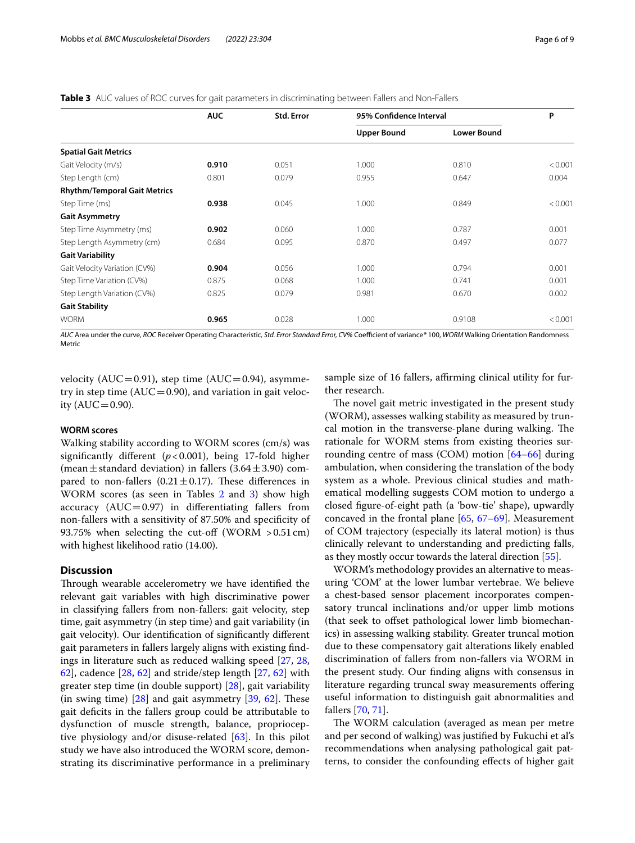#### <span id="page-5-0"></span>**Table 3** AUC values of ROC curves for gait parameters in discriminating between Fallers and Non-Fallers

|                                     | <b>AUC</b> | Std. Error |                    | 95% Confidence Interval |         |
|-------------------------------------|------------|------------|--------------------|-------------------------|---------|
|                                     |            |            | <b>Upper Bound</b> | <b>Lower Bound</b>      |         |
| <b>Spatial Gait Metrics</b>         |            |            |                    |                         |         |
| Gait Velocity (m/s)                 | 0.910      | 0.051      | 1.000              | 0.810                   | < 0.001 |
| Step Length (cm)                    | 0.801      | 0.079      | 0.955              | 0.647                   | 0.004   |
| <b>Rhythm/Temporal Gait Metrics</b> |            |            |                    |                         |         |
| Step Time (ms)                      | 0.938      | 0.045      | 1.000              | 0.849                   | < 0.001 |
| <b>Gait Asymmetry</b>               |            |            |                    |                         |         |
| Step Time Asymmetry (ms)            | 0.902      | 0.060      | 1.000              | 0.787                   | 0.001   |
| Step Length Asymmetry (cm)          | 0.684      | 0.095      | 0.870              | 0.497                   | 0.077   |
| <b>Gait Variability</b>             |            |            |                    |                         |         |
| Gait Velocity Variation (CV%)       | 0.904      | 0.056      | 1.000              | 0.794                   | 0.001   |
| Step Time Variation (CV%)           | 0.875      | 0.068      | 1.000              | 0.741                   | 0.001   |
| Step Length Variation (CV%)         | 0.825      | 0.079      | 0.981              | 0.670                   | 0.002   |
| <b>Gait Stability</b>               |            |            |                    |                         |         |
| <b>WORM</b>                         | 0.965      | 0.028      | 1.000              | 0.9108                  | < 0.001 |

*AUC* Area under the curve*, ROC* Receiver Operating Characteristic*, Std. Error Standard Error, CV%* Coefcient of variance*\** 100, *WORM* Walking Orientation Randomness Metric

velocity ( $AUC = 0.91$ ), step time ( $AUC = 0.94$ ), asymmetry in step time ( $AUC=0.90$ ), and variation in gait velocity  $(AUC = 0.90)$ .

## **WORM scores**

Walking stability according to WORM scores (cm/s) was signifcantly diferent (*p*<0.001), being 17-fold higher (mean  $\pm$  standard deviation) in fallers (3.64  $\pm$  3.90) compared to non-fallers (0.21 $\pm$ 0.17). These differences in WORM scores (as seen in Tables [2](#page-4-1) and [3](#page-5-0)) show high accuracy  $(AUC=0.97)$  in differentiating fallers from non-fallers with a sensitivity of 87.50% and specifcity of 93.75% when selecting the cut-off (WORM  $> 0.51$  cm) with highest likelihood ratio (14.00).

## **Discussion**

Through wearable accelerometry we have identified the relevant gait variables with high discriminative power in classifying fallers from non-fallers: gait velocity, step time, gait asymmetry (in step time) and gait variability (in gait velocity). Our identifcation of signifcantly diferent gait parameters in fallers largely aligns with existing fndings in literature such as reduced walking speed [\[27](#page-7-20), [28](#page-7-21), [62\]](#page-8-13), cadence [[28,](#page-7-21) [62\]](#page-8-13) and stride/step length [\[27](#page-7-20), [62](#page-8-13)] with greater step time (in double support) [\[28](#page-7-21)], gait variability (in swing time)  $[28]$  $[28]$  and gait asymmetry  $[39, 62]$  $[39, 62]$  $[39, 62]$  $[39, 62]$ . These gait defcits in the fallers group could be attributable to dysfunction of muscle strength, balance, proprioceptive physiology and/or disuse-related [\[63\]](#page-8-14). In this pilot study we have also introduced the WORM score, demonstrating its discriminative performance in a preliminary sample size of 16 fallers, affirming clinical utility for further research.

The novel gait metric investigated in the present study (WORM), assesses walking stability as measured by truncal motion in the transverse-plane during walking. The rationale for WORM stems from existing theories surrounding centre of mass (COM) motion [\[64](#page-8-15)[–66\]](#page-8-16) during ambulation, when considering the translation of the body system as a whole. Previous clinical studies and mathematical modelling suggests COM motion to undergo a closed fgure-of-eight path (a 'bow-tie' shape), upwardly concaved in the frontal plane [[65](#page-8-17), [67–](#page-8-18)[69](#page-8-19)]. Measurement of COM trajectory (especially its lateral motion) is thus clinically relevant to understanding and predicting falls, as they mostly occur towards the lateral direction [\[55](#page-8-7)].

WORM's methodology provides an alternative to measuring 'COM' at the lower lumbar vertebrae. We believe a chest-based sensor placement incorporates compensatory truncal inclinations and/or upper limb motions (that seek to ofset pathological lower limb biomechanics) in assessing walking stability. Greater truncal motion due to these compensatory gait alterations likely enabled discrimination of fallers from non-fallers via WORM in the present study. Our fnding aligns with consensus in literature regarding truncal sway measurements offering useful information to distinguish gait abnormalities and fallers [[70,](#page-8-20) [71](#page-8-21)].

The WORM calculation (averaged as mean per metre and per second of walking) was justifed by Fukuchi et al's recommendations when analysing pathological gait patterns, to consider the confounding efects of higher gait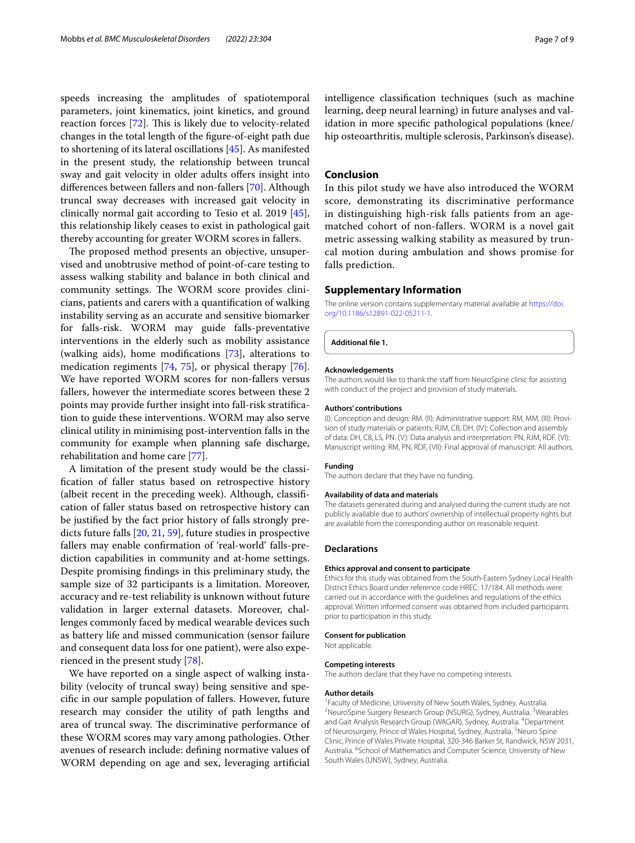speeds increasing the amplitudes of spatiotemporal parameters, joint kinematics, joint kinetics, and ground reaction forces [\[72](#page-8-22)]. This is likely due to velocity-related changes in the total length of the fgure-of-eight path due to shortening of its lateral oscillations [[45\]](#page-7-37). As manifested in the present study, the relationship between truncal sway and gait velocity in older adults offers insight into diferences between fallers and non-fallers [\[70](#page-8-20)]. Although truncal sway decreases with increased gait velocity in clinically normal gait according to Tesio et al. 2019 [\[45](#page-7-37)], this relationship likely ceases to exist in pathological gait thereby accounting for greater WORM scores in fallers.

The proposed method presents an objective, unsupervised and unobtrusive method of point-of-care testing to assess walking stability and balance in both clinical and community settings. The WORM score provides clinicians, patients and carers with a quantifcation of walking instability serving as an accurate and sensitive biomarker for falls-risk. WORM may guide falls-preventative interventions in the elderly such as mobility assistance (walking aids), home modifcations [\[73](#page-8-23)], alterations to medication regiments [\[74,](#page-8-24) [75](#page-8-25)], or physical therapy [\[76](#page-8-26)]. We have reported WORM scores for non-fallers versus fallers, however the intermediate scores between these 2 points may provide further insight into fall-risk stratifcation to guide these interventions. WORM may also serve clinical utility in minimising post-intervention falls in the community for example when planning safe discharge, rehabilitation and home care [[77](#page-8-27)].

A limitation of the present study would be the classifcation of faller status based on retrospective history (albeit recent in the preceding week). Although, classifcation of faller status based on retrospective history can be justifed by the fact prior history of falls strongly predicts future falls [\[20,](#page-7-15) [21](#page-7-17), [59\]](#page-8-10), future studies in prospective fallers may enable confrmation of 'real-world' falls-prediction capabilities in community and at-home settings. Despite promising fndings in this preliminary study, the sample size of 32 participants is a limitation. Moreover, accuracy and re-test reliability is unknown without future validation in larger external datasets. Moreover, challenges commonly faced by medical wearable devices such as battery life and missed communication (sensor failure and consequent data loss for one patient), were also experienced in the present study [[78](#page-8-28)].

We have reported on a single aspect of walking instability (velocity of truncal sway) being sensitive and specifc in our sample population of fallers. However, future research may consider the utility of path lengths and area of truncal sway. The discriminative performance of these WORM scores may vary among pathologies. Other avenues of research include: defning normative values of WORM depending on age and sex, leveraging artifcial intelligence classifcation techniques (such as machine learning, deep neural learning) in future analyses and validation in more specifc pathological populations (knee/ hip osteoarthritis, multiple sclerosis, Parkinson's disease).

## **Conclusion**

In this pilot study we have also introduced the WORM score, demonstrating its discriminative performance in distinguishing high-risk falls patients from an agematched cohort of non-fallers. WORM is a novel gait metric assessing walking stability as measured by truncal motion during ambulation and shows promise for falls prediction.

#### **Supplementary Information**

The online version contains supplementary material available at [https://doi.](https://doi.org/10.1186/s12891-022-05211-1) [org/10.1186/s12891-022-05211-1](https://doi.org/10.1186/s12891-022-05211-1).

**Additional fle 1.**

#### **Acknowledgements**

The authors would like to thank the staff from NeuroSpine clinic for assisting with conduct of the project and provision of study materials.

#### **Authors' contributions**

(I): Conception and design: RM. (II): Administrative support: RM, MM, (III): Provision of study materials or patients: RJM, CB, DH. (IV): Collection and assembly of data: DH, CB, LS, PN. (V): Data analysis and interpretation: PN, RJM, RDF. (VI): Manuscript writing: RM, PN, RDF, (VII): Final approval of manuscript: All authors.

## **Funding**

The authors declare that they have no funding.

#### **Availability of data and materials**

The datasets generated during and analysed during the current study are not publicly available due to authors' ownership of intellectual property rights but are available from the corresponding author on reasonable request.

#### **Declarations**

#### **Ethics approval and consent to participate**

Ethics for this study was obtained from the South-Eastern Sydney Local Health District Ethics Board under reference code HREC: 17/184. All methods were carried out in accordance with the guidelines and regulations of the ethics approval. Written informed consent was obtained from included participants prior to participation in this study.

## **Consent for publication**

Not applicable.

#### **Competing interests**

The authors declare that they have no competing interests.

#### **Author details**

<sup>1</sup> Faculty of Medicine, University of New South Wales, Sydney, Australia.<br><sup>2</sup> NeuroSpine Surgery Besearch Group (NSURG), Sydney, Australia. <sup>3</sup> Wea NeuroSpine Surgery Research Group (NSURG), Sydney, Australia. <sup>3</sup>Wearables and Gait Analysis Research Group (WAGAR), Sydney, Australia. <sup>4</sup>Department of Neurosurgery, Prince of Wales Hospital, Sydney, Australia. <sup>5</sup>Neuro Spine Clinic, Prince of Wales Private Hospital, 320-346 Barker St, Randwick, NSW 2031, Australia. <sup>6</sup> School of Mathematics and Computer Science, University of New South Wales (UNSW), Sydney, Australia.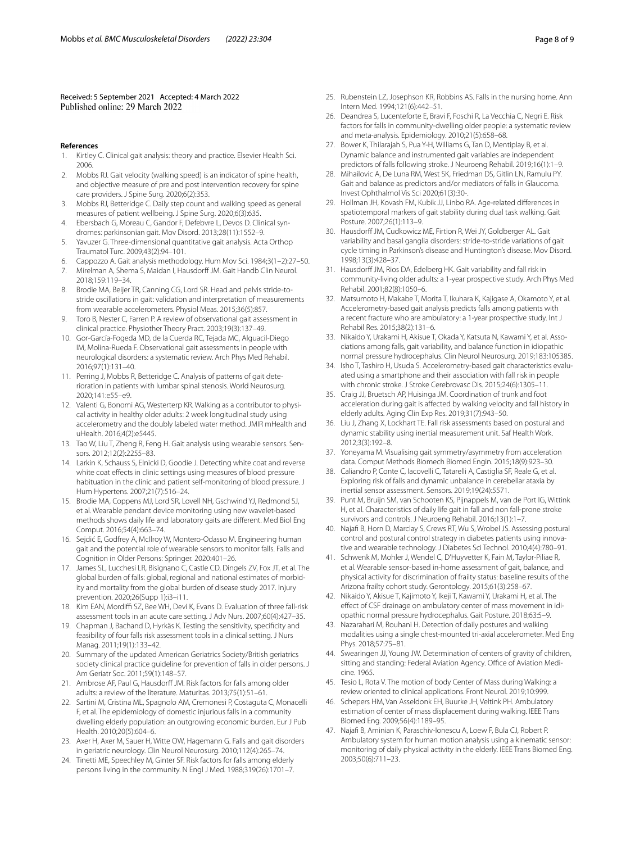Received: 5 September 2021 Accepted: 4 March 2022<br>Published online: 29 March 2022

- **References**
- <span id="page-7-0"></span>Kirtley C. Clinical gait analysis: theory and practice. Elsevier Health Sci. 2006.
- 2. Mobbs RJ. Gait velocity (walking speed) is an indicator of spine health, and objective measure of pre and post intervention recovery for spine care providers. J Spine Surg. 2020;6(2):353.
- 3. Mobbs RJ, Betteridge C. Daily step count and walking speed as general measures of patient wellbeing. J Spine Surg. 2020;6(3):635.
- <span id="page-7-1"></span>4. Ebersbach G, Moreau C, Gandor F, Defebvre L, Devos D. Clinical syndromes: parkinsonian gait. Mov Disord. 2013;28(11):1552–9.
- <span id="page-7-2"></span>5. Yavuzer G. Three-dimensional quantitative gait analysis. Acta Orthop Traumatol Turc. 2009;43(2):94–101.
- 6. Cappozzo A. Gait analysis methodology. Hum Mov Sci. 1984;3(1–2):27–50.
- 7. Mirelman A, Shema S, Maidan I, Hausdorff JM. Gait Handb Clin Neurol. 2018;159:119–34.
- <span id="page-7-3"></span>8. Brodie MA, Beijer TR, Canning CG, Lord SR. Head and pelvis stride-tostride oscillations in gait: validation and interpretation of measurements from wearable accelerometers. Physiol Meas. 2015;36(5):857.
- <span id="page-7-4"></span>9. Toro B, Nester C, Farren P. A review of observational gait assessment in clinical practice. Physiother Theory Pract. 2003;19(3):137–49.
- <span id="page-7-5"></span>10. Gor-García-Fogeda MD, de la Cuerda RC, Tejada MC, Alguacil-Diego IM, Molina-Rueda F. Observational gait assessments in people with neurological disorders: a systematic review. Arch Phys Med Rehabil. 2016;97(1):131–40.
- <span id="page-7-6"></span>11. Perring J, Mobbs R, Betteridge C. Analysis of patterns of gait deterioration in patients with lumbar spinal stenosis. World Neurosurg. 2020;141:e55–e9.
- <span id="page-7-7"></span>12. Valenti G, Bonomi AG, Westerterp KR. Walking as a contributor to physical activity in healthy older adults: 2 week longitudinal study using accelerometry and the doubly labeled water method. JMIR mHealth and uHealth. 2016;4(2):e5445.
- <span id="page-7-8"></span>13. Tao W, Liu T, Zheng R, Feng H. Gait analysis using wearable sensors. Sensors. 2012;12(2):2255–83.
- <span id="page-7-9"></span>14. Larkin K, Schauss S, Elnicki D, Goodie J. Detecting white coat and reverse white coat efects in clinic settings using measures of blood pressure habituation in the clinic and patient self-monitoring of blood pressure. J Hum Hypertens. 2007;21(7):516–24.
- <span id="page-7-10"></span>15. Brodie MA, Coppens MJ, Lord SR, Lovell NH, Gschwind YJ, Redmond SJ, et al. Wearable pendant device monitoring using new wavelet-based methods shows daily life and laboratory gaits are diferent. Med Biol Eng Comput. 2016;54(4):663–74.
- <span id="page-7-11"></span>16. Sejdić E, Godfrey A, McIlroy W, Montero-Odasso M. Engineering human gait and the potential role of wearable sensors to monitor falls. Falls and Cognition in Older Persons: Springer. 2020:401–26.
- <span id="page-7-12"></span>17. James SL, Lucchesi LR, Bisignano C, Castle CD, Dingels ZV, Fox JT, et al. The global burden of falls: global, regional and national estimates of morbidity and mortality from the global burden of disease study 2017. Injury prevention. 2020;26(Supp 1):i3–i11.
- <span id="page-7-13"></span>18. Kim EAN, Mordiffi SZ, Bee WH, Devi K, Evans D. Evaluation of three fall-risk assessment tools in an acute care setting. J Adv Nurs. 2007;60(4):427–35.
- <span id="page-7-14"></span>19. Chapman J, Bachand D, Hyrkäs K. Testing the sensitivity, specifcity and feasibility of four falls risk assessment tools in a clinical setting. J Nurs Manag. 2011;19(1):133–42.
- <span id="page-7-15"></span>20. Summary of the updated American Geriatrics Society/British geriatrics society clinical practice guideline for prevention of falls in older persons. J Am Geriatr Soc. 2011;59(1):148–57.
- <span id="page-7-17"></span>21. Ambrose AF, Paul G, Hausdorff JM. Risk factors for falls among older adults: a review of the literature. Maturitas. 2013;75(1):51–61.
- 22. Sartini M, Cristina ML, Spagnolo AM, Cremonesi P, Costaguta C, Monacelli F, et al. The epidemiology of domestic injurious falls in a community dwelling elderly population: an outgrowing economic burden. Eur J Pub Health. 2010;20(5):604–6.
- <span id="page-7-16"></span>23. Axer H, Axer M, Sauer H, Witte OW, Hagemann G. Falls and gait disorders in geriatric neurology. Clin Neurol Neurosurg. 2010;112(4):265–74.
- <span id="page-7-18"></span>24. Tinetti ME, Speechley M, Ginter SF. Risk factors for falls among elderly persons living in the community. N Engl J Med. 1988;319(26):1701–7.
- 25. Rubenstein LZ, Josephson KR, Robbins AS. Falls in the nursing home. Ann Intern Med. 1994;121(6):442–51.
- <span id="page-7-19"></span>26. Deandrea S, Lucenteforte E, Bravi F, Foschi R, La Vecchia C, Negri E. Risk factors for falls in community-dwelling older people: a systematic review and meta-analysis. Epidemiology. 2010;21(5):658–68.
- <span id="page-7-20"></span>27. Bower K, Thilarajah S, Pua Y-H, Williams G, Tan D, Mentiplay B, et al. Dynamic balance and instrumented gait variables are independent predictors of falls following stroke. J Neuroeng Rehabil. 2019;16(1):1–9.
- <span id="page-7-21"></span>28. Mihailovic A, De Luna RM, West SK, Friedman DS, Gitlin LN, Ramulu PY. Gait and balance as predictors and/or mediators of falls in Glaucoma. Invest Ophthalmol Vis Sci 2020;61(3):30-.
- <span id="page-7-22"></span>29. Hollman JH, Kovash FM, Kubik JJ, Linbo RA. Age-related diferences in spatiotemporal markers of gait stability during dual task walking. Gait Posture. 2007;26(1):113–9.
- <span id="page-7-23"></span>30. Hausdorff JM, Cudkowicz ME, Firtion R, Wei JY, Goldberger AL. Gait variability and basal ganglia disorders: stride-to-stride variations of gait cycle timing in Parkinson's disease and Huntington's disease. Mov Disord. 1998;13(3):428–37.
- <span id="page-7-24"></span>31. Hausdorff JM, Rios DA, Edelberg HK. Gait variability and fall risk in community-living older adults: a 1-year prospective study. Arch Phys Med Rehabil. 2001;82(8):1050–6.
- <span id="page-7-25"></span>32. Matsumoto H, Makabe T, Morita T, Ikuhara K, Kajigase A, Okamoto Y, et al. Accelerometry-based gait analysis predicts falls among patients with a recent fracture who are ambulatory: a 1-year prospective study. Int J Rehabil Res. 2015;38(2):131–6.
- <span id="page-7-26"></span>33. Nikaido Y, Urakami H, Akisue T, Okada Y, Katsuta N, Kawami Y, et al. Associations among falls, gait variability, and balance function in idiopathic normal pressure hydrocephalus. Clin Neurol Neurosurg. 2019;183:105385.
- <span id="page-7-27"></span>34. Isho T, Tashiro H, Usuda S. Accelerometry-based gait characteristics evaluated using a smartphone and their association with fall risk in people with chronic stroke. J Stroke Cerebrovasc Dis. 2015;24(6):1305–11.
- <span id="page-7-28"></span>35. Craig JJ, Bruetsch AP, Huisinga JM. Coordination of trunk and foot acceleration during gait is afected by walking velocity and fall history in elderly adults. Aging Clin Exp Res. 2019;31(7):943–50.
- <span id="page-7-29"></span>36. Liu J, Zhang X, Lockhart TE. Fall risk assessments based on postural and dynamic stability using inertial measurement unit. Saf Health Work. 2012;3(3):192–8.
- <span id="page-7-30"></span>37. Yoneyama M. Visualising gait symmetry/asymmetry from acceleration data. Comput Methods Biomech Biomed Engin. 2015;18(9):923–30.
- <span id="page-7-31"></span>38. Caliandro P, Conte C, Iacovelli C, Tatarelli A, Castiglia SF, Reale G, et al. Exploring risk of falls and dynamic unbalance in cerebellar ataxia by inertial sensor assessment. Sensors. 2019;19(24):5571.
- <span id="page-7-32"></span>39. Punt M, Bruijn SM, van Schooten KS, Pijnappels M, van de Port IG, Wittink H, et al. Characteristics of daily life gait in fall and non fall-prone stroke survivors and controls. J Neuroeng Rehabil. 2016;13(1):1–7.
- 40. Najaf B, Horn D, Marclay S, Crews RT, Wu S, Wrobel JS. Assessing postural control and postural control strategy in diabetes patients using innovative and wearable technology. J Diabetes Sci Technol. 2010;4(4):780–91.
- <span id="page-7-33"></span>41. Schwenk M, Mohler J, Wendel C, D'Huyvetter K, Fain M, Taylor-Piliae R, et al. Wearable sensor-based in-home assessment of gait, balance, and physical activity for discrimination of frailty status: baseline results of the Arizona frailty cohort study. Gerontology. 2015;61(3):258–67.
- <span id="page-7-34"></span>42. Nikaido Y, Akisue T, Kajimoto Y, Ikeji T, Kawami Y, Urakami H, et al. The efect of CSF drainage on ambulatory center of mass movement in idiopathic normal pressure hydrocephalus. Gait Posture. 2018;63:5–9.
- <span id="page-7-35"></span>43. Nazarahari M, Rouhani H. Detection of daily postures and walking modalities using a single chest-mounted tri-axial accelerometer. Med Eng Phys. 2018;57:75–81.
- <span id="page-7-36"></span>44. Swearingen JJ, Young JW. Determination of centers of gravity of children, sitting and standing: Federal Aviation Agency. Office of Aviation Medicine. 1965.
- <span id="page-7-37"></span>45. Tesio L, Rota V. The motion of body Center of Mass during Walking: a review oriented to clinical applications. Front Neurol. 2019;10:999.
- <span id="page-7-38"></span>46. Schepers HM, Van Asseldonk EH, Buurke JH, Veltink PH. Ambulatory estimation of center of mass displacement during walking. IEEE Trans Biomed Eng. 2009;56(4):1189–95.
- <span id="page-7-39"></span>47. Najaf B, Aminian K, Paraschiv-Ionescu A, Loew F, Bula CJ, Robert P. Ambulatory system for human motion analysis using a kinematic sensor: monitoring of daily physical activity in the elderly. IEEE Trans Biomed Eng. 2003;50(6):711–23.